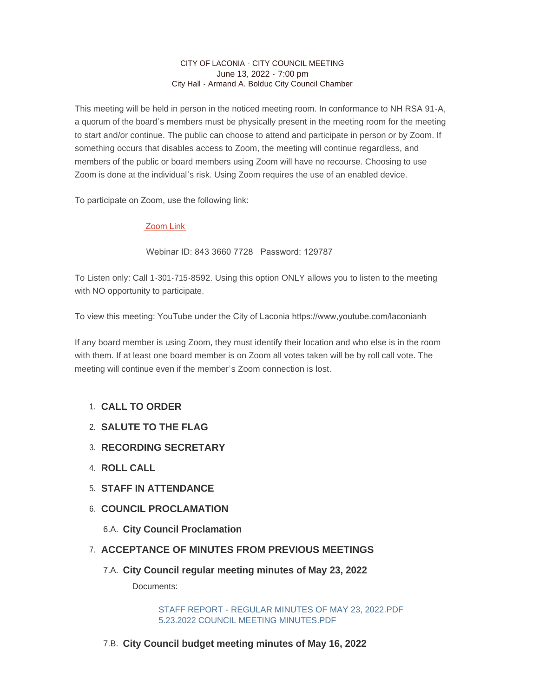#### CITY OF LACONIA - CITY COUNCIL MEETING June 13, 2022 - 7:00 pm City Hall - Armand A. Bolduc City Council Chamber

This meeting will be held in person in the noticed meeting room. In conformance to NH RSA 91-A, a quorum of the board's members must be physically present in the meeting room for the meeting to start and/or continue. The public can choose to attend and participate in person or by Zoom. If something occurs that disables access to Zoom, the meeting will continue regardless, and members of the public or board members using Zoom will have no recourse. Choosing to use Zoom is done at the individual's risk. Using Zoom requires the use of an enabled device.

To participate on Zoom, use the following link:

## [Zoom Link](https://us02web.zoom.us/j/84336607728?pwd=NkZxY0FoYUxuWW9VV2Ivb3A5ZDA4QT09)

Webinar ID: 843 3660 7728 Password: 129787

To Listen only: Call 1-301-715-8592. Using this option ONLY allows you to listen to the meeting with NO opportunity to participate.

To view this meeting: YouTube under the City of Laconia https://www,youtube.com/laconianh

If any board member is using Zoom, they must identify their location and who else is in the room with them. If at least one board member is on Zoom all votes taken will be by roll call vote. The meeting will continue even if the member's Zoom connection is lost.

# **CALL TO ORDER**  1.

- **SALUTE TO THE FLAG** 2.
- **RECORDING SECRETARY** 3.
- **ROLL CALL** 4.
- **STAFF IN ATTENDANCE** 5.
- **6. COUNCIL PROCLAMATION** 
	- **City Council Proclamation** 6.A.
- **ACCEPTANCE OF MINUTES FROM PREVIOUS MEETINGS** 7.
	- **City Council regular meeting minutes of May 23, 2022** 7.A. Documents:

[STAFF REPORT - REGULAR MINUTES OF MAY 23, 2022.PDF](https://www.laconianh.gov/AgendaCenter/ViewFile/Item/21024?fileID=43589) [5.23.2022 COUNCIL MEETING MINUTES.PDF](https://www.laconianh.gov/AgendaCenter/ViewFile/Item/21024?fileID=43590)

**City Council budget meeting minutes of May 16, 2022** 7.B.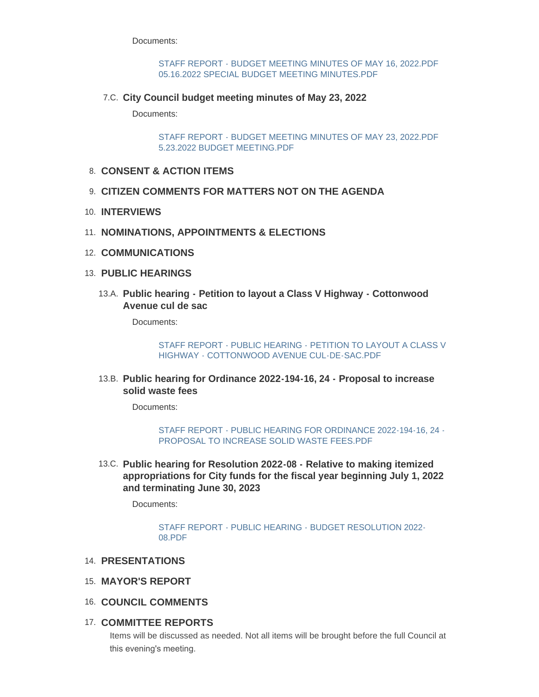Documents:

#### [STAFF REPORT - BUDGET MEETING MINUTES OF MAY 16, 2022.PDF](https://www.laconianh.gov/AgendaCenter/ViewFile/Item/21022?fileID=43585) [05.16.2022 SPECIAL BUDGET MEETING MINUTES.PDF](https://www.laconianh.gov/AgendaCenter/ViewFile/Item/21022?fileID=43586)

**City Council budget meeting minutes of May 23, 2022** 7.C.

Documents:

[STAFF REPORT - BUDGET MEETING MINUTES OF MAY 23, 2022.PDF](https://www.laconianh.gov/AgendaCenter/ViewFile/Item/21023?fileID=43588) [5.23.2022 BUDGET MEETING.PDF](https://www.laconianh.gov/AgendaCenter/ViewFile/Item/21023?fileID=43587)

- **CONSENT & ACTION ITEMS** 8.
- **CITIZEN COMMENTS FOR MATTERS NOT ON THE AGENDA** 9.
- **INTERVIEWS** 10.
- 11. NOMINATIONS, APPOINTMENTS & ELECTIONS
- 12. **COMMUNICATIONS**
- **PUBLIC HEARINGS** 13.
	- **Public hearing Petition to layout a Class V Highway Cottonwood**  13.A. **Avenue cul de sac**

Documents:

[STAFF REPORT - PUBLIC HEARING - PETITION TO LAYOUT A CLASS V](https://www.laconianh.gov/AgendaCenter/ViewFile/Item/21035?fileID=43606)  HIGHWAY - COTTONWOOD AVENUE CUL-DE-SAC.PDF

**Public hearing for Ordinance 2022-194-16, 24 - Proposal to increase**  13.B. **solid waste fees**

Documents:

```
STAFF REPORT - PUBLIC HEARING FOR ORDINANCE 2022-194-16, 24 -
PROPOSAL TO INCREASE SOLID WASTE FEES.PDF
```
**Public hearing for Resolution 2022-08 - Relative to making itemized**  13.C. **appropriations for City funds for the fiscal year beginning July 1, 2022 and terminating June 30, 2023**

Documents:

[STAFF REPORT - PUBLIC HEARING - BUDGET RESOLUTION 2022-](https://www.laconianh.gov/AgendaCenter/ViewFile/Item/21031?fileID=43599) 08.PDF

- **PRESENTATIONS** 14.
- **MAYOR'S REPORT** 15.
- **COUNCIL COMMENTS** 16.
- **COMMITTEE REPORTS** 17.

Items will be discussed as needed. Not all items will be brought before the full Council at this evening's meeting.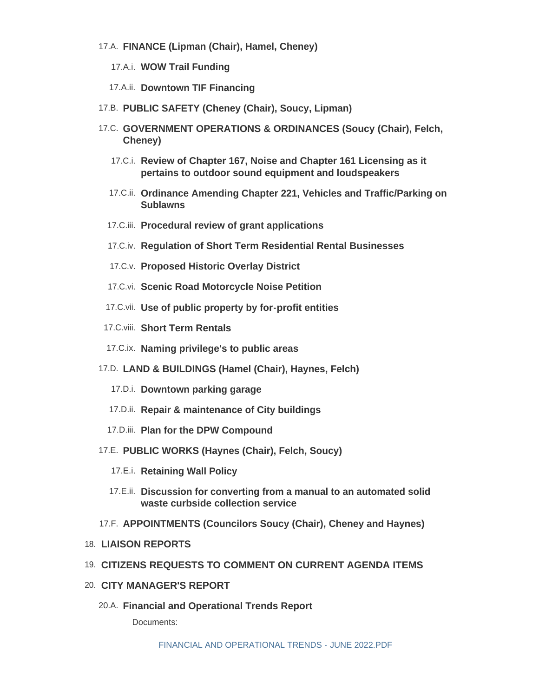- **FINANCE (Lipman (Chair), Hamel, Cheney)** 17.A.
	- **WOW Trail Funding** 17.A.i.
	- 17.A.ii. Downtown TIF Financing
- **PUBLIC SAFETY (Cheney (Chair), Soucy, Lipman)** 17.B.
- **GOVERNMENT OPERATIONS & ORDINANCES (Soucy (Chair), Felch,**  17.C. **Cheney)**
	- **Review of Chapter 167, Noise and Chapter 161 Licensing as it**  17.C.i. **pertains to outdoor sound equipment and loudspeakers**
	- **Ordinance Amending Chapter 221, Vehicles and Traffic/Parking on**  17.C.ii. **Sublawns**
	- **Procedural review of grant applications** 17.C.iii.
	- **Regulation of Short Term Residential Rental Businesses** 17.C.iv.
	- 17.C.v. Proposed Historic Overlay District
	- 17.C.vi. Scenic Road Motorcycle Noise Petition
	- **Use of public property by for-profit entities** 17.C.vii.
- 17.C.viii. Short Term Rentals
- **Naming privilege's to public areas** 17.C.ix.
- **LAND & BUILDINGS (Hamel (Chair), Haynes, Felch)** 17.D.
	- 17.D.i. Downtown parking garage
	- 17.D.ii. Repair & maintenance of City buildings
	- 17.D.iii. Plan for the DPW Compound
- **PUBLIC WORKS (Haynes (Chair), Felch, Soucy)** 17.E.
	- 17.E.i. Retaining Wall Policy
	- **Discussion for converting from a manual to an automated solid**  17.E.ii. **waste curbside collection service**
- **APPOINTMENTS (Councilors Soucy (Chair), Cheney and Haynes)** 17.F.
- **LIAISON REPORTS** 18.
- **CITIZENS REQUESTS TO COMMENT ON CURRENT AGENDA ITEMS** 19.
- **CITY MANAGER'S REPORT** 20.
	- **Financial and Operational Trends Report** 20.A.

Documents: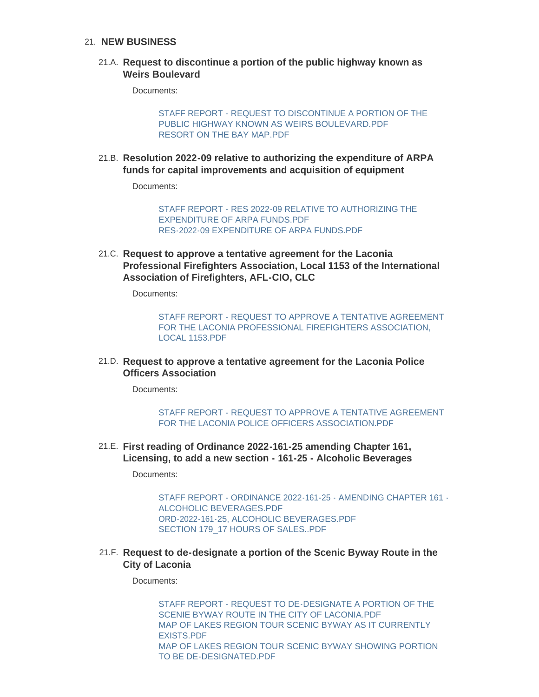### **NEW BUSINESS** 21.

## **Request to discontinue a portion of the public highway known as**  21.A. **Weirs Boulevard**

Documents:

[STAFF REPORT - REQUEST TO DISCONTINUE A PORTION OF THE](https://www.laconianh.gov/AgendaCenter/ViewFile/Item/21034?fileID=43613)  PUBLIC HIGHWAY KNOWN AS WEIRS BOULEVARD.PDF [RESORT ON THE BAY MAP.PDF](https://www.laconianh.gov/AgendaCenter/ViewFile/Item/21034?fileID=43614)

**Resolution 2022-09 relative to authorizing the expenditure of ARPA**  21.B. **funds for capital improvements and acquisition of equipment**

Documents:

[STAFF REPORT - RES 2022-09 RELATIVE TO AUTHORIZING THE](https://www.laconianh.gov/AgendaCenter/ViewFile/Item/21028?fileID=43615)  EXPENDITURE OF ARPA FUNDS.PDF [RES-2022-09 EXPENDITURE OF ARPA FUNDS.PDF](https://www.laconianh.gov/AgendaCenter/ViewFile/Item/21028?fileID=43616)

**Request to approve a tentative agreement for the Laconia**  21.C. **Professional Firefighters Association, Local 1153 of the International Association of Firefighters, AFL-CIO, CLC**

Documents:

[STAFF REPORT - REQUEST TO APPROVE A TENTATIVE AGREEMENT](https://www.laconianh.gov/AgendaCenter/ViewFile/Item/21026?fileID=43593)  FOR THE LACONIA PROFESSIONAL FIREFIGHTERS ASSOCIATION, LOCAL 1153.PDF

**Request to approve a tentative agreement for the Laconia Police**  21.D. **Officers Association**

Documents:

[STAFF REPORT - REQUEST TO APPROVE A TENTATIVE AGREEMENT](https://www.laconianh.gov/AgendaCenter/ViewFile/Item/21027?fileID=43592)  FOR THE LACONIA POLICE OFFICERS ASSOCIATION.PDF

**First reading of Ordinance 2022-161-25 amending Chapter 161,**  21.E. **Licensing, to add a new section - 161-25 - Alcoholic Beverages**

Documents:

[STAFF REPORT - ORDINANCE 2022-161-25 - AMENDING CHAPTER 161 -](https://www.laconianh.gov/AgendaCenter/ViewFile/Item/21033?fileID=43602) ALCOHOLIC BEVERAGES.PDF [ORD-2022-161-25, ALCOHOLIC BEVERAGES.PDF](https://www.laconianh.gov/AgendaCenter/ViewFile/Item/21033?fileID=43603) [SECTION 179\\_17 HOURS OF SALES..PDF](https://www.laconianh.gov/AgendaCenter/ViewFile/Item/21033?fileID=43604)

**Request to de-designate a portion of the Scenic Byway Route in the**  21.F. **City of Laconia**

Documents:

[STAFF REPORT - REQUEST TO DE-DESIGNATE A PORTION OF THE](https://www.laconianh.gov/AgendaCenter/ViewFile/Item/21040?fileID=43620)  SCENIE BYWAY ROUTE IN THE CITY OF LACONIA.PDF [MAP OF LAKES REGION TOUR SCENIC BYWAY AS IT CURRENTLY](https://www.laconianh.gov/AgendaCenter/ViewFile/Item/21040?fileID=43623)  EXISTS.PDF [MAP OF LAKES REGION TOUR SCENIC BYWAY SHOWING PORTION](https://www.laconianh.gov/AgendaCenter/ViewFile/Item/21040?fileID=43622)  TO BE DE-DESIGNATED.PDF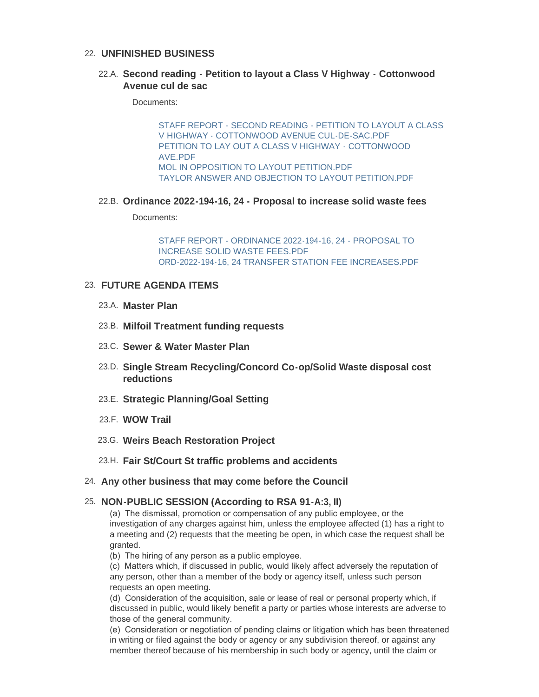# **UNFINISHED BUSINESS** 22.

## **Second reading - Petition to layout a Class V Highway - Cottonwood**  22.A. **Avenue cul de sac**

Documents:

[STAFF REPORT - SECOND READING - PETITION TO LAYOUT A CLASS](https://www.laconianh.gov/AgendaCenter/ViewFile/Item/21036?fileID=43607)  V HIGHWAY - COTTONWOOD AVENUE CUL-DE-SAC.PDF [PETITION TO LAY OUT A CLASS V HIGHWAY - COTTONWOOD](https://www.laconianh.gov/AgendaCenter/ViewFile/Item/21036?fileID=43608)  AVE.PDF [MOL IN OPPOSITION TO LAYOUT PETITION.PDF](https://www.laconianh.gov/AgendaCenter/ViewFile/Item/21036?fileID=43609) [TAYLOR ANSWER AND OBJECTION TO LAYOUT PETITION.PDF](https://www.laconianh.gov/AgendaCenter/ViewFile/Item/21036?fileID=43610)

### **Ordinance 2022-194-16, 24 - Proposal to increase solid waste fees** 22.B.

Documents:

[STAFF REPORT - ORDINANCE 2022-194-16, 24 - PROPOSAL TO](https://www.laconianh.gov/AgendaCenter/ViewFile/Item/21030?fileID=43617)  INCREASE SOLID WASTE FEES.PDF [ORD-2022-194-16, 24 TRANSFER STATION FEE INCREASES.PDF](https://www.laconianh.gov/AgendaCenter/ViewFile/Item/21030?fileID=43624)

## **FUTURE AGENDA ITEMS** 23.

- **Master Plan** 23.A.
- **Milfoil Treatment funding requests** 23.B.
- 23.C. Sewer & Water Master Plan
- **Single Stream Recycling/Concord Co-op/Solid Waste disposal cost**  23.D. **reductions**
- 23.E. Strategic Planning/Goal Setting
- **WOW Trail** 23.F.
- **Weirs Beach Restoration Project** 23.G.
- **Fair St/Court St traffic problems and accidents** 23.H.
- **Any other business that may come before the Council** 24.

### **NON-PUBLIC SESSION (According to RSA 91-A:3, II)** 25.

(a) The dismissal, promotion or compensation of any public employee, or the investigation of any charges against him, unless the employee affected (1) has a right to a meeting and (2) requests that the meeting be open, in which case the request shall be granted.

(b) The hiring of any person as a public employee.

(c) Matters which, if discussed in public, would likely affect adversely the reputation of any person, other than a member of the body or agency itself, unless such person requests an open meeting.

(d) Consideration of the acquisition, sale or lease of real or personal property which, if discussed in public, would likely benefit a party or parties whose interests are adverse to those of the general community.

(e) Consideration or negotiation of pending claims or litigation which has been threatened in writing or filed against the body or agency or any subdivision thereof, or against any member thereof because of his membership in such body or agency, until the claim or